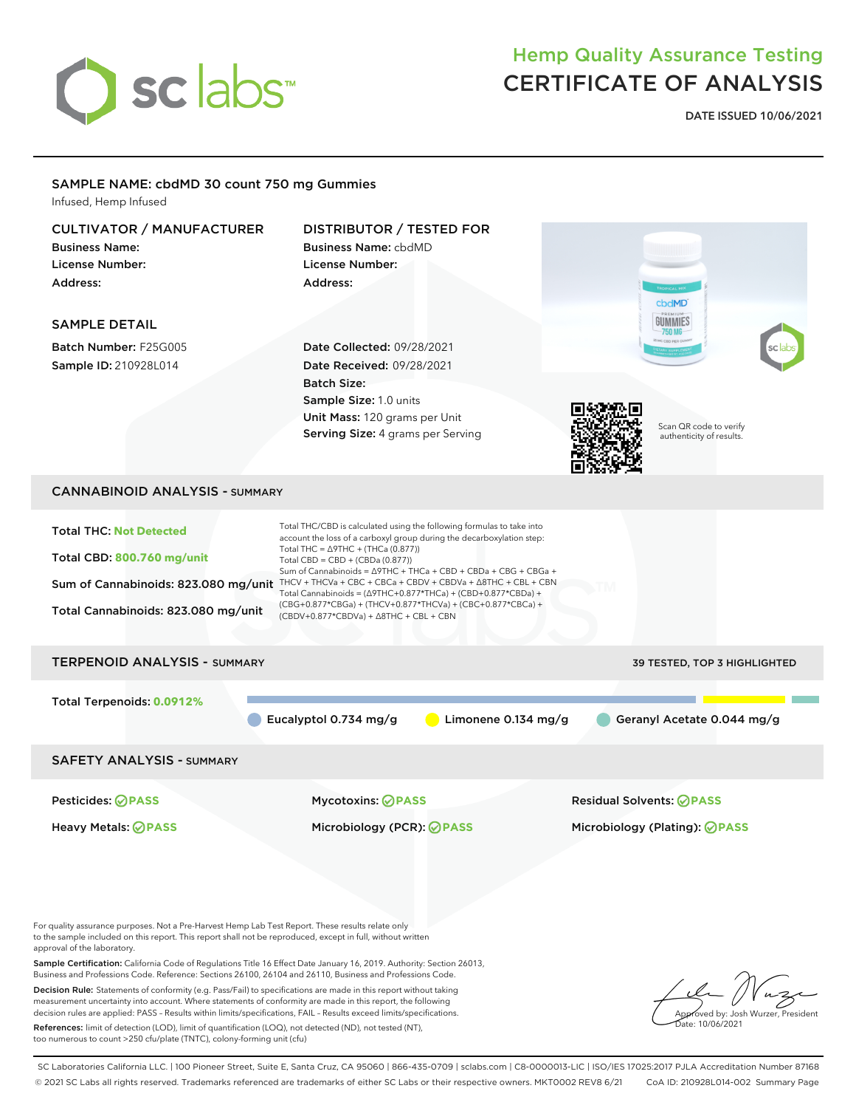

## Hemp Quality Assurance Testing CERTIFICATE OF ANALYSIS

**DATE ISSUED 10/06/2021**

## SAMPLE NAME: cbdMD 30 count 750 mg Gummies

Infused, Hemp Infused

| <b>CULTIVATOR / MANUFACTURER</b><br><b>Business Name:</b><br><b>License Number:</b><br>Address:<br><b>SAMPLE DETAIL</b><br>Batch Number: F25G005<br>Sample ID: 210928L014                                                                       | <b>DISTRIBUTOR / TESTED FOR</b><br><b>Business Name: cbdMD</b><br>License Number:<br>Address:<br>Date Collected: 09/28/2021<br><b>Date Received: 09/28/2021</b><br><b>Batch Size:</b><br>Sample Size: 1.0 units<br>Unit Mass: 120 grams per Unit<br>Serving Size: 4 grams per Serving                                                                                                                                                                                                                                                                                                                               | cbdMD<br>GUMMIES<br>$-750$ MG $-$<br>Scan QR code to verify<br>authenticity of results. |
|-------------------------------------------------------------------------------------------------------------------------------------------------------------------------------------------------------------------------------------------------|---------------------------------------------------------------------------------------------------------------------------------------------------------------------------------------------------------------------------------------------------------------------------------------------------------------------------------------------------------------------------------------------------------------------------------------------------------------------------------------------------------------------------------------------------------------------------------------------------------------------|-----------------------------------------------------------------------------------------|
|                                                                                                                                                                                                                                                 |                                                                                                                                                                                                                                                                                                                                                                                                                                                                                                                                                                                                                     |                                                                                         |
| <b>CANNABINOID ANALYSIS - SUMMARY</b>                                                                                                                                                                                                           |                                                                                                                                                                                                                                                                                                                                                                                                                                                                                                                                                                                                                     |                                                                                         |
| <b>Total THC: Not Detected</b><br>Total CBD: 800.760 mg/unit<br>Total Cannabinoids: 823.080 mg/unit                                                                                                                                             | Total THC/CBD is calculated using the following formulas to take into<br>account the loss of a carboxyl group during the decarboxylation step:<br>Total THC = $\triangle$ 9THC + (THCa (0.877))<br>Total CBD = $CBD + (CBDa (0.877))$<br>Sum of Cannabinoids = Δ9THC + THCa + CBD + CBDa + CBG + CBGa +<br>Sum of Cannabinoids: 823.080 mg/unit THCV + THCVa + CBC + CBCa + CBDV + CBDVa + $\triangle$ 8THC + CBL + CBN<br>Total Cannabinoids = $(\Delta 9THC + 0.877*THCa) + (CBD + 0.877*CBDa) +$<br>(CBG+0.877*CBGa) + (THCV+0.877*THCVa) + (CBC+0.877*CBCa) +<br>$(CBDV+0.877*CBDVa) + \Delta 8THC + CBL + CBN$ |                                                                                         |
| <b>TERPENOID ANALYSIS - SUMMARY</b>                                                                                                                                                                                                             |                                                                                                                                                                                                                                                                                                                                                                                                                                                                                                                                                                                                                     | 39 TESTED, TOP 3 HIGHLIGHTED                                                            |
| Total Terpenoids: 0.0912%                                                                                                                                                                                                                       | Limonene 0.134 mg/g<br>Eucalyptol 0.734 mg/g                                                                                                                                                                                                                                                                                                                                                                                                                                                                                                                                                                        | Geranyl Acetate 0.044 mg/g                                                              |
| <b>SAFETY ANALYSIS - SUMMARY</b>                                                                                                                                                                                                                |                                                                                                                                                                                                                                                                                                                                                                                                                                                                                                                                                                                                                     |                                                                                         |
| Pesticides: <b>⊘</b> PASS                                                                                                                                                                                                                       | <b>Mycotoxins: ⊘PASS</b>                                                                                                                                                                                                                                                                                                                                                                                                                                                                                                                                                                                            | <b>Residual Solvents: ØPASS</b>                                                         |
| <b>Heavy Metals: ⊘ PASS</b>                                                                                                                                                                                                                     | Microbiology (PCR): ⊘ PASS                                                                                                                                                                                                                                                                                                                                                                                                                                                                                                                                                                                          | Microbiology (Plating): ⊘PASS                                                           |
| For quality assurance purposes. Not a Pre-Harvest Hemp Lab Test Report. These results relate only<br>to the sample included on this report. This report shall not be reproduced, except in full, without written<br>approval of the laboratory. |                                                                                                                                                                                                                                                                                                                                                                                                                                                                                                                                                                                                                     |                                                                                         |

Sample Certification: California Code of Regulations Title 16 Effect Date January 16, 2019. Authority: Section 26013, Business and Professions Code. Reference: Sections 26100, 26104 and 26110, Business and Professions Code.

Decision Rule: Statements of conformity (e.g. Pass/Fail) to specifications are made in this report without taking measurement uncertainty into account. Where statements of conformity are made in this report, the following decision rules are applied: PASS – Results within limits/specifications, FAIL – Results exceed limits/specifications.

References: limit of detection (LOD), limit of quantification (LOQ), not detected (ND), not tested (NT), too numerous to count >250 cfu/plate (TNTC), colony-forming unit (cfu)



SC Laboratories California LLC. | 100 Pioneer Street, Suite E, Santa Cruz, CA 95060 | 866-435-0709 | sclabs.com | C8-0000013-LIC | ISO/IES 17025:2017 PJLA Accreditation Number 87168 © 2021 SC Labs all rights reserved. Trademarks referenced are trademarks of either SC Labs or their respective owners. MKT0002 REV8 6/21 CoA ID: 210928L014-002 Summary Page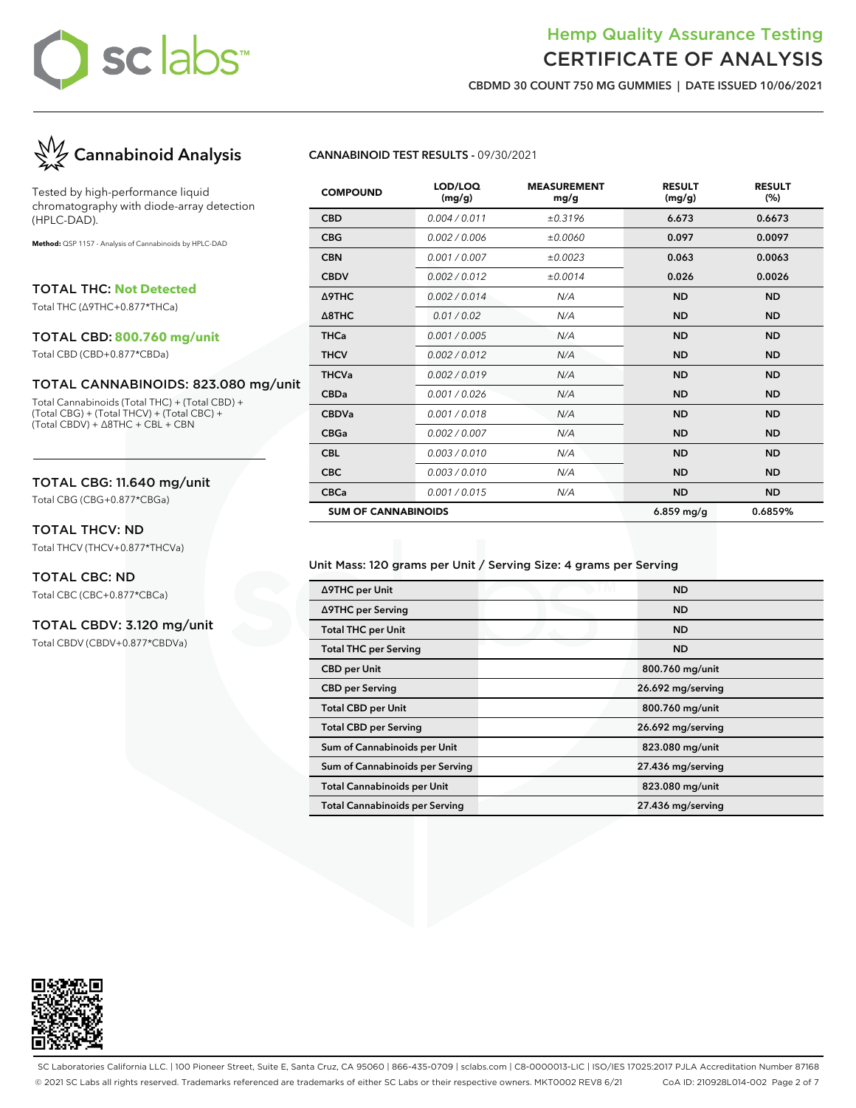## Hemp Quality Assurance Testing CERTIFICATE OF ANALYSIS

**CBDMD 30 COUNT 750 MG GUMMIES | DATE ISSUED 10/06/2021**



Tested by high-performance liquid chromatography with diode-array detection (HPLC-DAD).

**Method:** QSP 1157 - Analysis of Cannabinoids by HPLC-DAD

TOTAL THC: **Not Detected**

Total THC (∆9THC+0.877\*THCa)

#### TOTAL CBD: **800.760 mg/unit**

Total CBD (CBD+0.877\*CBDa)

#### TOTAL CANNABINOIDS: 823.080 mg/unit

Total Cannabinoids (Total THC) + (Total CBD) + (Total CBG) + (Total THCV) + (Total CBC) + (Total CBDV) + ∆8THC + CBL + CBN

### TOTAL CBG: 11.640 mg/unit

Total CBG (CBG+0.877\*CBGa)

### TOTAL THCV: ND

Total THCV (THCV+0.877\*THCVa)

#### TOTAL CBC: ND

Total CBC (CBC+0.877\*CBCa)

### TOTAL CBDV: 3.120 mg/unit

Total CBDV (CBDV+0.877\*CBDVa)

#### **CANNABINOID TEST RESULTS -** 09/30/2021

| <b>COMPOUND</b>            | LOD/LOQ<br>(mg/g) | <b>MEASUREMENT</b><br>mg/g | <b>RESULT</b><br>(mg/g) | <b>RESULT</b><br>(% ) |
|----------------------------|-------------------|----------------------------|-------------------------|-----------------------|
| <b>CBD</b>                 | 0.004 / 0.011     | ±0.3196                    | 6.673                   | 0.6673                |
| <b>CBG</b>                 | 0.002 / 0.006     | ±0.0060                    | 0.097                   | 0.0097                |
| <b>CBN</b>                 | 0.001 / 0.007     | ±0.0023                    | 0.063                   | 0.0063                |
| <b>CBDV</b>                | 0.002 / 0.012     | ±0.0014                    | 0.026                   | 0.0026                |
| Δ9THC                      | 0.002 / 0.014     | N/A                        | <b>ND</b>               | <b>ND</b>             |
| $\triangle$ 8THC           | 0.01 / 0.02       | N/A                        | <b>ND</b>               | <b>ND</b>             |
| <b>THCa</b>                | 0.001 / 0.005     | N/A                        | <b>ND</b>               | <b>ND</b>             |
| <b>THCV</b>                | 0.002 / 0.012     | N/A                        | <b>ND</b>               | <b>ND</b>             |
| <b>THCVa</b>               | 0.002 / 0.019     | N/A                        | <b>ND</b>               | <b>ND</b>             |
| <b>CBDa</b>                | 0.001/0.026       | N/A                        | <b>ND</b>               | <b>ND</b>             |
| <b>CBDVa</b>               | 0.001/0.018       | N/A                        | <b>ND</b>               | <b>ND</b>             |
| <b>CBGa</b>                | 0.002 / 0.007     | N/A                        | <b>ND</b>               | <b>ND</b>             |
| <b>CBL</b>                 | 0.003/0.010       | N/A                        | <b>ND</b>               | <b>ND</b>             |
| <b>CBC</b>                 | 0.003/0.010       | N/A                        | <b>ND</b>               | <b>ND</b>             |
| <b>CBCa</b>                | 0.001 / 0.015     | N/A                        | <b>ND</b>               | <b>ND</b>             |
| <b>SUM OF CANNABINOIDS</b> |                   |                            | $6.859$ mg/g            | 0.6859%               |

#### Unit Mass: 120 grams per Unit / Serving Size: 4 grams per Serving

| ∆9THC per Unit                        | <b>ND</b>         |
|---------------------------------------|-------------------|
| ∆9THC per Serving                     | <b>ND</b>         |
| <b>Total THC per Unit</b>             | <b>ND</b>         |
| <b>Total THC per Serving</b>          | <b>ND</b>         |
| <b>CBD</b> per Unit                   | 800.760 mg/unit   |
| <b>CBD</b> per Serving                | 26.692 mg/serving |
| <b>Total CBD per Unit</b>             | 800.760 mg/unit   |
| <b>Total CBD per Serving</b>          | 26.692 mg/serving |
| Sum of Cannabinoids per Unit          | 823.080 mg/unit   |
| Sum of Cannabinoids per Serving       | 27.436 mg/serving |
| <b>Total Cannabinoids per Unit</b>    | 823.080 mg/unit   |
| <b>Total Cannabinoids per Serving</b> | 27.436 mg/serving |
|                                       |                   |



SC Laboratories California LLC. | 100 Pioneer Street, Suite E, Santa Cruz, CA 95060 | 866-435-0709 | sclabs.com | C8-0000013-LIC | ISO/IES 17025:2017 PJLA Accreditation Number 87168 © 2021 SC Labs all rights reserved. Trademarks referenced are trademarks of either SC Labs or their respective owners. MKT0002 REV8 6/21 CoA ID: 210928L014-002 Page 2 of 7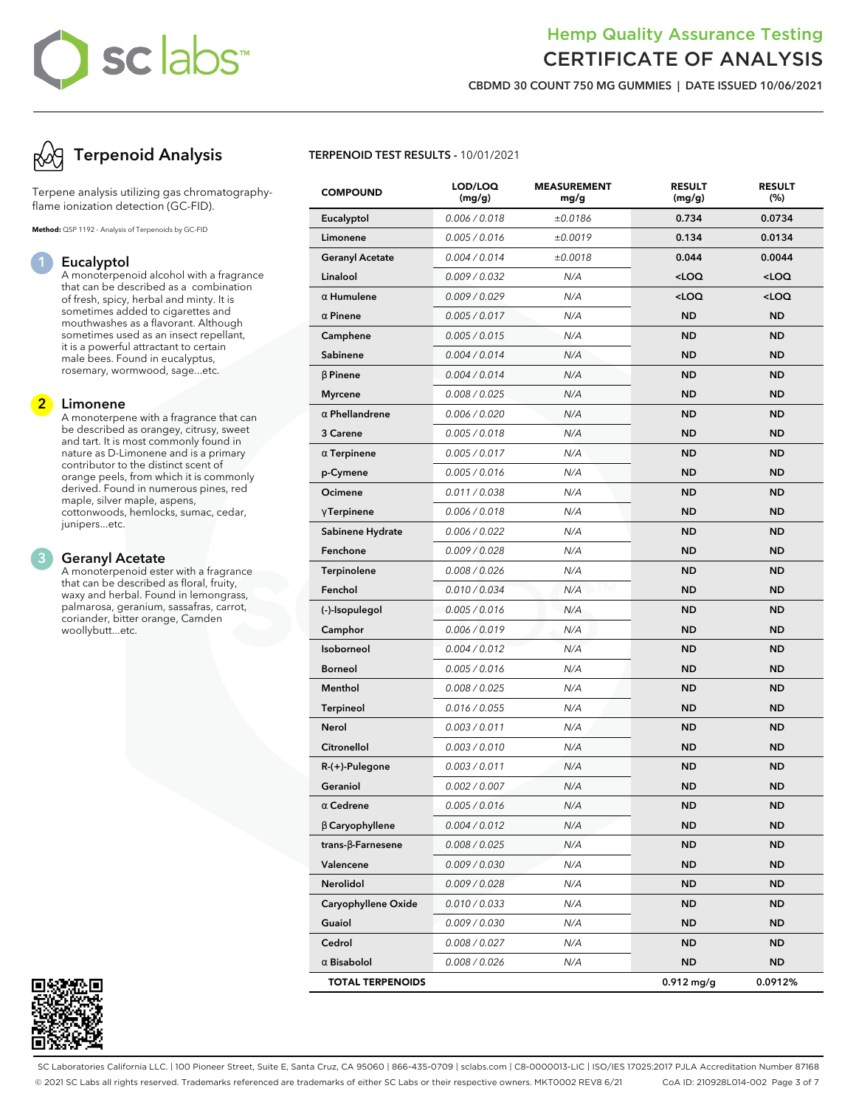# **sc abs**

## Hemp Quality Assurance Testing CERTIFICATE OF ANALYSIS

**CBDMD 30 COUNT 750 MG GUMMIES | DATE ISSUED 10/06/2021**



Terpene analysis utilizing gas chromatographyflame ionization detection (GC-FID).

**Method:** QSP 1192 - Analysis of Terpenoids by GC-FID

### **1 Eucalyptol**

A monoterpenoid alcohol with a fragrance that can be described as a combination of fresh, spicy, herbal and minty. It is sometimes added to cigarettes and mouthwashes as a flavorant. Although sometimes used as an insect repellant, it is a powerful attractant to certain male bees. Found in eucalyptus, rosemary, wormwood, sage...etc.

### **2 Limonene**

A monoterpene with a fragrance that can be described as orangey, citrusy, sweet and tart. It is most commonly found in nature as D-Limonene and is a primary contributor to the distinct scent of orange peels, from which it is commonly derived. Found in numerous pines, red maple, silver maple, aspens, cottonwoods, hemlocks, sumac, cedar, junipers...etc.

#### **3 Geranyl Acetate**

A monoterpenoid ester with a fragrance that can be described as floral, fruity, waxy and herbal. Found in lemongrass, palmarosa, geranium, sassafras, carrot, coriander, bitter orange, Camden woollybutt...etc.



### **TERPENOID TEST RESULTS -** 10/01/2021

| <b>COMPOUND</b>           | LOD/LOQ<br>(mg/g) | <b>MEASUREMENT</b><br>mg/g | <b>RESULT</b><br>(mg/g)                         | <b>RESULT</b><br>(%) |
|---------------------------|-------------------|----------------------------|-------------------------------------------------|----------------------|
| Eucalyptol                | 0.006 / 0.018     | ±0.0186                    | 0.734                                           | 0.0734               |
| Limonene                  | 0.005 / 0.016     | ±0.0019                    | 0.134                                           | 0.0134               |
| <b>Geranyl Acetate</b>    | 0.004 / 0.014     | ±0.0018                    | 0.044                                           | 0.0044               |
| Linalool                  | 0.009 / 0.032     | N/A                        | <loq< th=""><th><loq< th=""></loq<></th></loq<> | <loq< th=""></loq<>  |
| $\alpha$ Humulene         | 0.009 / 0.029     | N/A                        | <loq< th=""><th><loq< th=""></loq<></th></loq<> | <loq< th=""></loq<>  |
| $\alpha$ Pinene           | 0.005 / 0.017     | N/A                        | <b>ND</b>                                       | <b>ND</b>            |
| Camphene                  | 0.005 / 0.015     | N/A                        | <b>ND</b>                                       | <b>ND</b>            |
| <b>Sabinene</b>           | 0.004 / 0.014     | N/A                        | <b>ND</b>                                       | <b>ND</b>            |
| $\beta$ Pinene            | 0.004 / 0.014     | N/A                        | <b>ND</b>                                       | <b>ND</b>            |
| <b>Myrcene</b>            | 0.008 / 0.025     | N/A                        | <b>ND</b>                                       | <b>ND</b>            |
| $\alpha$ Phellandrene     | 0.006 / 0.020     | N/A                        | <b>ND</b>                                       | <b>ND</b>            |
| 3 Carene                  | 0.005 / 0.018     | N/A                        | <b>ND</b>                                       | <b>ND</b>            |
| $\alpha$ Terpinene        | 0.005 / 0.017     | N/A                        | <b>ND</b>                                       | <b>ND</b>            |
| p-Cymene                  | 0.005 / 0.016     | N/A                        | <b>ND</b>                                       | <b>ND</b>            |
| Ocimene                   | 0.011 / 0.038     | N/A                        | <b>ND</b>                                       | <b>ND</b>            |
| $\gamma$ Terpinene        | 0.006 / 0.018     | N/A                        | <b>ND</b>                                       | <b>ND</b>            |
| Sabinene Hydrate          | 0.006 / 0.022     | N/A                        | <b>ND</b>                                       | <b>ND</b>            |
| Fenchone                  | 0.009 / 0.028     | N/A                        | <b>ND</b>                                       | <b>ND</b>            |
| <b>Terpinolene</b>        | 0.008 / 0.026     | N/A                        | <b>ND</b>                                       | <b>ND</b>            |
| Fenchol                   | 0.010 / 0.034     | N/A                        | <b>ND</b>                                       | <b>ND</b>            |
| (-)-Isopulegol            | 0.005 / 0.016     | N/A                        | <b>ND</b>                                       | <b>ND</b>            |
| Camphor                   | 0.006 / 0.019     | N/A                        | <b>ND</b>                                       | <b>ND</b>            |
| Isoborneol                | 0.004 / 0.012     | N/A                        | <b>ND</b>                                       | <b>ND</b>            |
| <b>Borneol</b>            | 0.005 / 0.016     | N/A                        | <b>ND</b>                                       | <b>ND</b>            |
| Menthol                   | 0.008 / 0.025     | N/A                        | <b>ND</b>                                       | <b>ND</b>            |
| <b>Terpineol</b>          | 0.016 / 0.055     | N/A                        | <b>ND</b>                                       | <b>ND</b>            |
| Nerol                     | 0.003 / 0.011     | N/A                        | <b>ND</b>                                       | <b>ND</b>            |
| Citronellol               | 0.003 / 0.010     | N/A                        | <b>ND</b>                                       | <b>ND</b>            |
| R-(+)-Pulegone            | 0.003 / 0.011     | N/A                        | <b>ND</b>                                       | <b>ND</b>            |
| Geraniol                  | 0.002 / 0.007     | N/A                        | <b>ND</b>                                       | <b>ND</b>            |
| $\alpha$ Cedrene          | 0.005 / 0.016     | N/A                        | <b>ND</b>                                       | <b>ND</b>            |
| $\beta$ Caryophyllene     | 0.004 / 0.012     | N/A                        | <b>ND</b>                                       | <b>ND</b>            |
| trans- $\beta$ -Farnesene | 0.008 / 0.025     | N/A                        | <b>ND</b>                                       | ND.                  |
| Valencene                 | 0.009 / 0.030     | N/A                        | <b>ND</b>                                       | <b>ND</b>            |
| Nerolidol                 | 0.009 / 0.028     | N/A                        | <b>ND</b>                                       | ND.                  |
| Caryophyllene Oxide       | 0.010 / 0.033     | N/A                        | <b>ND</b>                                       | ND.                  |
| Guaiol                    | 0.009 / 0.030     | N/A                        | <b>ND</b>                                       | <b>ND</b>            |
| Cedrol                    | 0.008 / 0.027     | N/A                        | <b>ND</b>                                       | ND                   |
| $\alpha$ Bisabolol        | 0.008 / 0.026     | N/A                        | <b>ND</b>                                       | ND                   |
| <b>TOTAL TERPENOIDS</b>   |                   |                            | $0.912$ mg/g                                    | 0.0912%              |

SC Laboratories California LLC. | 100 Pioneer Street, Suite E, Santa Cruz, CA 95060 | 866-435-0709 | sclabs.com | C8-0000013-LIC | ISO/IES 17025:2017 PJLA Accreditation Number 87168 © 2021 SC Labs all rights reserved. Trademarks referenced are trademarks of either SC Labs or their respective owners. MKT0002 REV8 6/21 CoA ID: 210928L014-002 Page 3 of 7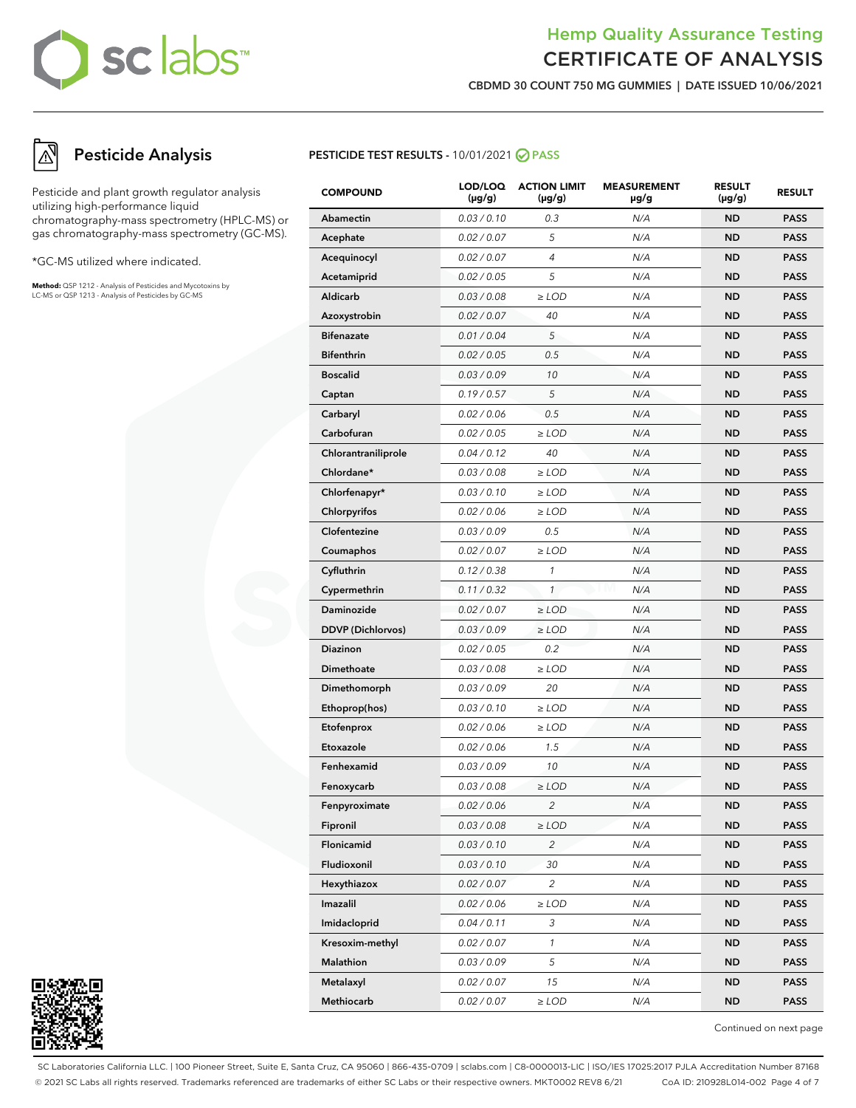## Hemp Quality Assurance Testing CERTIFICATE OF ANALYSIS

**CBDMD 30 COUNT 750 MG GUMMIES | DATE ISSUED 10/06/2021**

## **Pesticide Analysis**

Pesticide and plant growth regulator analysis utilizing high-performance liquid chromatography-mass spectrometry (HPLC-MS) or gas chromatography-mass spectrometry (GC-MS).

\*GC-MS utilized where indicated.

**Method:** QSP 1212 - Analysis of Pesticides and Mycotoxins by LC-MS or QSP 1213 - Analysis of Pesticides by GC-MS

## **PESTICIDE TEST RESULTS - 10/01/2021 ⊘ PASS**

| <b>COMPOUND</b>          | LOD/LOQ<br>$(\mu g/g)$ | <b>ACTION LIMIT</b><br>$(\mu g/g)$ | <b>MEASUREMENT</b><br>µg/g | <b>RESULT</b><br>(µg/g) | <b>RESULT</b> |
|--------------------------|------------------------|------------------------------------|----------------------------|-------------------------|---------------|
| Abamectin                | 0.03 / 0.10            | 0.3                                | N/A                        | <b>ND</b>               | <b>PASS</b>   |
| Acephate                 | 0.02 / 0.07            | 5                                  | N/A                        | <b>ND</b>               | <b>PASS</b>   |
| Acequinocyl              | 0.02 / 0.07            | 4                                  | N/A                        | <b>ND</b>               | <b>PASS</b>   |
| Acetamiprid              | 0.02 / 0.05            | 5                                  | N/A                        | <b>ND</b>               | <b>PASS</b>   |
| Aldicarb                 | 0.03 / 0.08            | $\ge$ LOD                          | N/A                        | <b>ND</b>               | <b>PASS</b>   |
| Azoxystrobin             | 0.02 / 0.07            | 40                                 | N/A                        | <b>ND</b>               | <b>PASS</b>   |
| <b>Bifenazate</b>        | 0.01 / 0.04            | 5                                  | N/A                        | <b>ND</b>               | <b>PASS</b>   |
| <b>Bifenthrin</b>        | 0.02 / 0.05            | 0.5                                | N/A                        | <b>ND</b>               | <b>PASS</b>   |
| <b>Boscalid</b>          | 0.03 / 0.09            | 10                                 | N/A                        | <b>ND</b>               | <b>PASS</b>   |
| Captan                   | 0.19/0.57              | 5                                  | N/A                        | <b>ND</b>               | <b>PASS</b>   |
| Carbaryl                 | 0.02 / 0.06            | 0.5                                | N/A                        | <b>ND</b>               | <b>PASS</b>   |
| Carbofuran               | 0.02 / 0.05            | $\ge$ LOD                          | N/A                        | <b>ND</b>               | <b>PASS</b>   |
| Chlorantraniliprole      | 0.04 / 0.12            | 40                                 | N/A                        | <b>ND</b>               | <b>PASS</b>   |
| Chlordane*               | 0.03 / 0.08            | $\ge$ LOD                          | N/A                        | <b>ND</b>               | <b>PASS</b>   |
| Chlorfenapyr*            | 0.03 / 0.10            | $\ge$ LOD                          | N/A                        | <b>ND</b>               | <b>PASS</b>   |
| <b>Chlorpyrifos</b>      | 0.02 / 0.06            | $\ge$ LOD                          | N/A                        | <b>ND</b>               | <b>PASS</b>   |
| Clofentezine             | 0.03 / 0.09            | 0.5                                | N/A                        | <b>ND</b>               | <b>PASS</b>   |
| Coumaphos                | 0.02 / 0.07            | $\ge$ LOD                          | N/A                        | <b>ND</b>               | <b>PASS</b>   |
| Cyfluthrin               | 0.12 / 0.38            | 1                                  | N/A                        | <b>ND</b>               | <b>PASS</b>   |
| Cypermethrin             | 0.11 / 0.32            | $\mathcal{I}$                      | N/A                        | <b>ND</b>               | <b>PASS</b>   |
| Daminozide               | 0.02 / 0.07            | $\geq$ LOD                         | N/A                        | <b>ND</b>               | <b>PASS</b>   |
| <b>DDVP</b> (Dichlorvos) | 0.03 / 0.09            | $\ge$ LOD                          | N/A                        | <b>ND</b>               | <b>PASS</b>   |
| Diazinon                 | 0.02 / 0.05            | 0.2                                | N/A                        | <b>ND</b>               | <b>PASS</b>   |
| Dimethoate               | 0.03 / 0.08            | $\ge$ LOD                          | N/A                        | <b>ND</b>               | <b>PASS</b>   |
| Dimethomorph             | 0.03 / 0.09            | 20                                 | N/A                        | <b>ND</b>               | <b>PASS</b>   |
| Ethoprop(hos)            | 0.03 / 0.10            | $\ge$ LOD                          | N/A                        | <b>ND</b>               | <b>PASS</b>   |
| Etofenprox               | 0.02 / 0.06            | $\ge$ LOD                          | N/A                        | <b>ND</b>               | <b>PASS</b>   |
| Etoxazole                | 0.02 / 0.06            | 1.5                                | N/A                        | <b>ND</b>               | <b>PASS</b>   |
| Fenhexamid               | 0.03 / 0.09            | 10                                 | N/A                        | <b>ND</b>               | <b>PASS</b>   |
| Fenoxycarb               | 0.03 / 0.08            | $\ge$ LOD                          | N/A                        | <b>ND</b>               | <b>PASS</b>   |
| Fenpyroximate            | 0.02 / 0.06            | 2                                  | N/A                        | <b>ND</b>               | PASS          |
| Fipronil                 | 0.03 / 0.08            | $\ge$ LOD                          | N/A                        | ND                      | <b>PASS</b>   |
| Flonicamid               | 0.03 / 0.10            | $\overline{c}$                     | N/A                        | <b>ND</b>               | <b>PASS</b>   |
| Fludioxonil              | 0.03 / 0.10            | 30                                 | N/A                        | <b>ND</b>               | <b>PASS</b>   |
| Hexythiazox              | 0.02 / 0.07            | $\overline{c}$                     | N/A                        | ND                      | <b>PASS</b>   |
| Imazalil                 | 0.02 / 0.06            | $\ge$ LOD                          | N/A                        | <b>ND</b>               | <b>PASS</b>   |
| Imidacloprid             | 0.04 / 0.11            | 3                                  | N/A                        | <b>ND</b>               | <b>PASS</b>   |
| Kresoxim-methyl          | 0.02 / 0.07            | $\mathbf{1}$                       | N/A                        | ND                      | <b>PASS</b>   |
| Malathion                | 0.03 / 0.09            | 5                                  | N/A                        | <b>ND</b>               | <b>PASS</b>   |
| Metalaxyl                | 0.02 / 0.07            | 15                                 | N/A                        | <b>ND</b>               | <b>PASS</b>   |
| Methiocarb               | 0.02 / 0.07            | $\geq$ LOD                         | N/A                        | ND                      | <b>PASS</b>   |

Continued on next page

SC Laboratories California LLC. | 100 Pioneer Street, Suite E, Santa Cruz, CA 95060 | 866-435-0709 | sclabs.com | C8-0000013-LIC | ISO/IES 17025:2017 PJLA Accreditation Number 87168 © 2021 SC Labs all rights reserved. Trademarks referenced are trademarks of either SC Labs or their respective owners. MKT0002 REV8 6/21 CoA ID: 210928L014-002 Page 4 of 7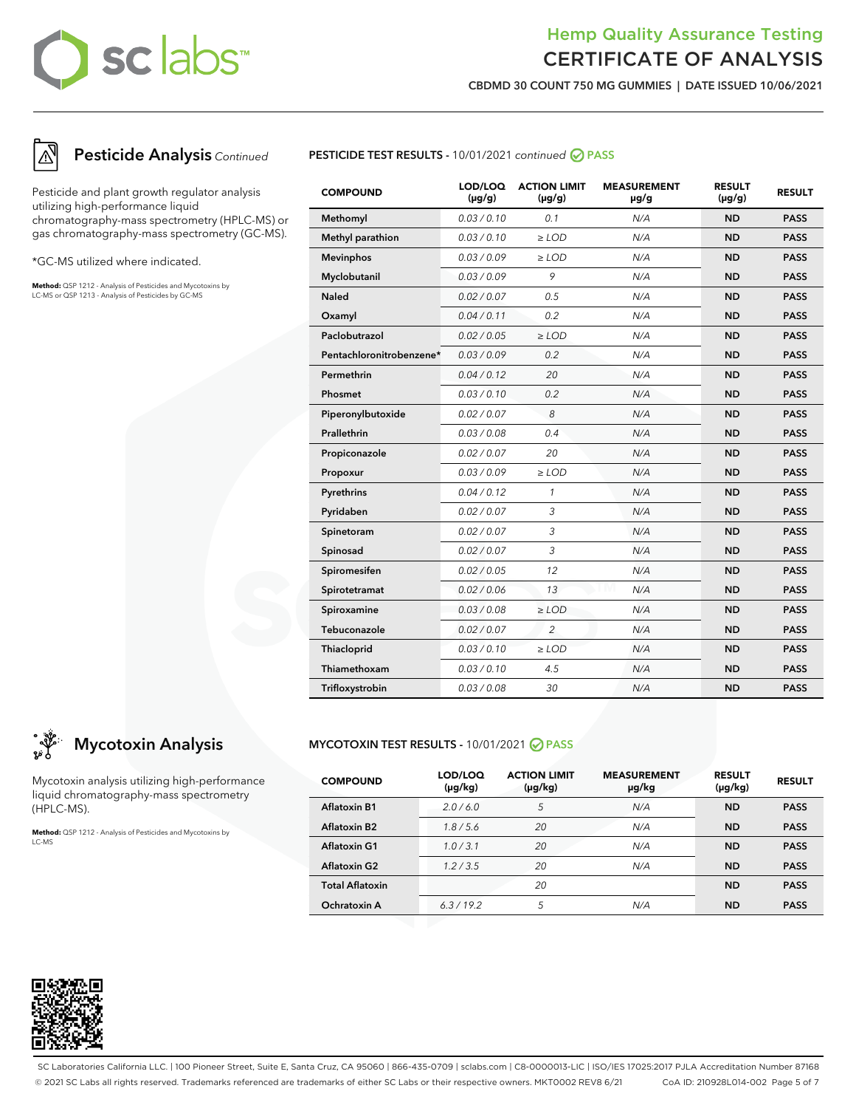## Hemp Quality Assurance Testing CERTIFICATE OF ANALYSIS

**CBDMD 30 COUNT 750 MG GUMMIES | DATE ISSUED 10/06/2021**



## **Pesticide Analysis** Continued

Pesticide and plant growth regulator analysis utilizing high-performance liquid chromatography-mass spectrometry (HPLC-MS) or gas chromatography-mass spectrometry (GC-MS).

\*GC-MS utilized where indicated.

**Method:** QSP 1212 - Analysis of Pesticides and Mycotoxins by LC-MS or QSP 1213 - Analysis of Pesticides by GC-MS



| <b>COMPOUND</b>          | LOD/LOQ<br>$(\mu g/g)$ | <b>ACTION LIMIT</b><br>$(\mu q/q)$ | <b>MEASUREMENT</b><br>$\mu$ g/g | <b>RESULT</b><br>$(\mu g/g)$ | <b>RESULT</b> |
|--------------------------|------------------------|------------------------------------|---------------------------------|------------------------------|---------------|
| Methomyl                 | 0.03 / 0.10            | 0.1                                | N/A                             | <b>ND</b>                    | <b>PASS</b>   |
| Methyl parathion         | 0.03/0.10              | $\geq$ LOD                         | N/A                             | <b>ND</b>                    | <b>PASS</b>   |
| <b>Mevinphos</b>         | 0.03/0.09              | $\ge$ LOD                          | N/A                             | <b>ND</b>                    | <b>PASS</b>   |
| Myclobutanil             | 0.03/0.09              | 9                                  | N/A                             | <b>ND</b>                    | <b>PASS</b>   |
| <b>Naled</b>             | 0.02 / 0.07            | 0.5                                | N/A                             | <b>ND</b>                    | <b>PASS</b>   |
| Oxamyl                   | 0.04/0.11              | 0.2                                | N/A                             | <b>ND</b>                    | <b>PASS</b>   |
| Paclobutrazol            | 0.02 / 0.05            | $\ge$ LOD                          | N/A                             | <b>ND</b>                    | <b>PASS</b>   |
| Pentachloronitrobenzene* | 0.03/0.09              | 0.2                                | N/A                             | <b>ND</b>                    | <b>PASS</b>   |
| Permethrin               | 0.04 / 0.12            | 20                                 | N/A                             | <b>ND</b>                    | <b>PASS</b>   |
| Phosmet                  | 0.03 / 0.10            | 0.2                                | N/A                             | <b>ND</b>                    | <b>PASS</b>   |
| Piperonylbutoxide        | 0.02 / 0.07            | 8                                  | N/A                             | <b>ND</b>                    | <b>PASS</b>   |
| Prallethrin              | 0.03 / 0.08            | 0.4                                | N/A                             | <b>ND</b>                    | <b>PASS</b>   |
| Propiconazole            | 0.02 / 0.07            | 20                                 | N/A                             | <b>ND</b>                    | <b>PASS</b>   |
| Propoxur                 | 0.03/0.09              | $\ge$ LOD                          | N/A                             | <b>ND</b>                    | <b>PASS</b>   |
| Pyrethrins               | 0.04 / 0.12            | $\mathbf{1}$                       | N/A                             | <b>ND</b>                    | <b>PASS</b>   |
| Pyridaben                | 0.02 / 0.07            | 3                                  | N/A                             | <b>ND</b>                    | <b>PASS</b>   |
| Spinetoram               | 0.02 / 0.07            | 3                                  | N/A                             | <b>ND</b>                    | <b>PASS</b>   |
| Spinosad                 | 0.02 / 0.07            | 3                                  | N/A                             | <b>ND</b>                    | <b>PASS</b>   |
| Spiromesifen             | 0.02 / 0.05            | 12                                 | N/A                             | <b>ND</b>                    | <b>PASS</b>   |
| Spirotetramat            | 0.02 / 0.06            | 13                                 | N/A                             | <b>ND</b>                    | <b>PASS</b>   |
| Spiroxamine              | 0.03/0.08              | $\ge$ LOD                          | N/A                             | <b>ND</b>                    | <b>PASS</b>   |
| Tebuconazole             | 0.02 / 0.07            | $\overline{2}$                     | N/A                             | <b>ND</b>                    | <b>PASS</b>   |
| Thiacloprid              | 0.03 / 0.10            | $\geq$ LOD                         | N/A                             | <b>ND</b>                    | <b>PASS</b>   |
| Thiamethoxam             | 0.03 / 0.10            | 4.5                                | N/A                             | <b>ND</b>                    | <b>PASS</b>   |
| Trifloxystrobin          | 0.03/0.08              | 30                                 | N/A                             | <b>ND</b>                    | <b>PASS</b>   |

## **Mycotoxin Analysis**

Mycotoxin analysis utilizing high-performance liquid chromatography-mass spectrometry (HPLC-MS).

**Method:** QSP 1212 - Analysis of Pesticides and Mycotoxins by LC-MS

## **MYCOTOXIN TEST RESULTS -** 10/01/2021 **PASS**

| <b>COMPOUND</b>        | LOD/LOQ<br>$(\mu g/kg)$ | <b>ACTION LIMIT</b><br>$(\mu g/kg)$ | <b>MEASUREMENT</b><br>µg/kg | <b>RESULT</b><br>$(\mu g/kg)$ | <b>RESULT</b> |
|------------------------|-------------------------|-------------------------------------|-----------------------------|-------------------------------|---------------|
| <b>Aflatoxin B1</b>    | 2.0/6.0                 | 5                                   | N/A                         | <b>ND</b>                     | <b>PASS</b>   |
| <b>Aflatoxin B2</b>    | 1.8/5.6                 | 20                                  | N/A                         | <b>ND</b>                     | <b>PASS</b>   |
| <b>Aflatoxin G1</b>    | 1.0/3.1                 | 20                                  | N/A                         | <b>ND</b>                     | <b>PASS</b>   |
| <b>Aflatoxin G2</b>    | 1.2 / 3.5               | 20                                  | N/A                         | <b>ND</b>                     | <b>PASS</b>   |
| <b>Total Aflatoxin</b> |                         | 20                                  |                             | <b>ND</b>                     | <b>PASS</b>   |
| Ochratoxin A           | 6.3/19.2                | 5                                   | N/A                         | <b>ND</b>                     | <b>PASS</b>   |



SC Laboratories California LLC. | 100 Pioneer Street, Suite E, Santa Cruz, CA 95060 | 866-435-0709 | sclabs.com | C8-0000013-LIC | ISO/IES 17025:2017 PJLA Accreditation Number 87168 © 2021 SC Labs all rights reserved. Trademarks referenced are trademarks of either SC Labs or their respective owners. MKT0002 REV8 6/21 CoA ID: 210928L014-002 Page 5 of 7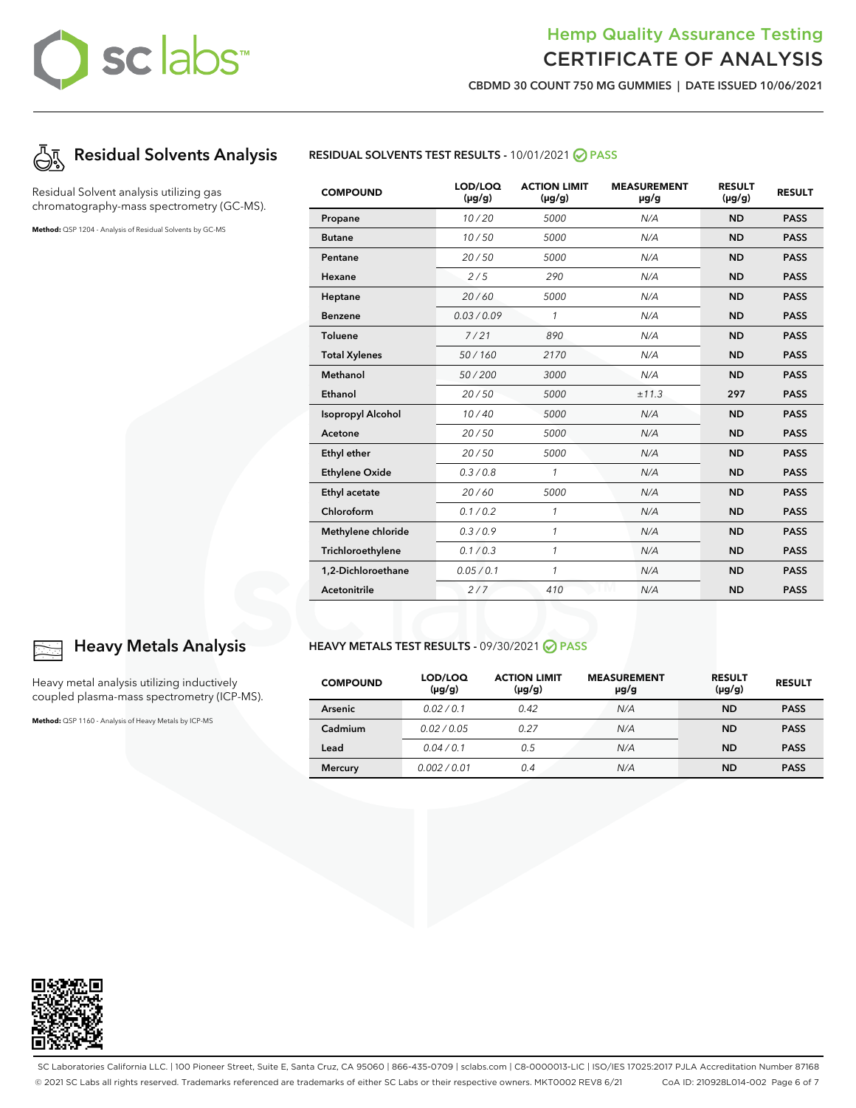## Hemp Quality Assurance Testing CERTIFICATE OF ANALYSIS

**CBDMD 30 COUNT 750 MG GUMMIES | DATE ISSUED 10/06/2021**



Residual Solvent analysis utilizing gas chromatography-mass spectrometry (GC-MS).

**Method:** QSP 1204 - Analysis of Residual Solvents by GC-MS



| <b>COMPOUND</b>          | LOD/LOQ<br>$(\mu g/g)$ | <b>ACTION LIMIT</b><br>$(\mu g/g)$ | <b>MEASUREMENT</b><br>µg/g | <b>RESULT</b><br>$(\mu g/g)$ | <b>RESULT</b> |
|--------------------------|------------------------|------------------------------------|----------------------------|------------------------------|---------------|
| Propane                  | 10/20                  | 5000                               | N/A                        | <b>ND</b>                    | <b>PASS</b>   |
| <b>Butane</b>            | 10/50                  | 5000                               | N/A                        | <b>ND</b>                    | <b>PASS</b>   |
| Pentane                  | 20/50                  | 5000                               | N/A                        | <b>ND</b>                    | <b>PASS</b>   |
| Hexane                   | 2/5                    | 290                                | N/A                        | <b>ND</b>                    | <b>PASS</b>   |
| Heptane                  | 20/60                  | 5000                               | N/A                        | <b>ND</b>                    | <b>PASS</b>   |
| <b>Benzene</b>           | 0.03/0.09              | 1                                  | N/A                        | <b>ND</b>                    | <b>PASS</b>   |
| <b>Toluene</b>           | 7/21                   | 890                                | N/A                        | <b>ND</b>                    | <b>PASS</b>   |
| <b>Total Xylenes</b>     | 50/160                 | 2170                               | N/A                        | <b>ND</b>                    | <b>PASS</b>   |
| Methanol                 | 50/200                 | 3000                               | N/A                        | <b>ND</b>                    | <b>PASS</b>   |
| Ethanol                  | 20/50                  | 5000                               | ±11.3                      | 297                          | <b>PASS</b>   |
| <b>Isopropyl Alcohol</b> | 10/40                  | 5000                               | N/A                        | <b>ND</b>                    | <b>PASS</b>   |
| Acetone                  | 20/50                  | 5000                               | N/A                        | <b>ND</b>                    | <b>PASS</b>   |
| Ethyl ether              | 20/50                  | 5000                               | N/A                        | <b>ND</b>                    | <b>PASS</b>   |
| <b>Ethylene Oxide</b>    | 0.3/0.8                | $\mathbf{1}$                       | N/A                        | <b>ND</b>                    | <b>PASS</b>   |
| Ethyl acetate            | 20/60                  | 5000                               | N/A                        | <b>ND</b>                    | <b>PASS</b>   |
| Chloroform               | 0.1 / 0.2              | $\mathbf{1}$                       | N/A                        | <b>ND</b>                    | <b>PASS</b>   |
| Methylene chloride       | 0.3/0.9                | 1                                  | N/A                        | <b>ND</b>                    | <b>PASS</b>   |
| Trichloroethylene        | 0.1/0.3                | 1                                  | N/A                        | <b>ND</b>                    | <b>PASS</b>   |
| 1,2-Dichloroethane       | 0.05 / 0.1             | 1                                  | N/A                        | <b>ND</b>                    | <b>PASS</b>   |
| <b>Acetonitrile</b>      | 2/7                    | 410                                | N/A                        | <b>ND</b>                    | <b>PASS</b>   |

## **Heavy Metals Analysis**

Heavy metal analysis utilizing inductively coupled plasma-mass spectrometry (ICP-MS).

**Method:** QSP 1160 - Analysis of Heavy Metals by ICP-MS

### **HEAVY METALS TEST RESULTS -** 09/30/2021 **PASS**

| <b>COMPOUND</b> | LOD/LOQ<br>$(\mu g/g)$ | <b>ACTION LIMIT</b><br>$(\mu g/g)$ | <b>MEASUREMENT</b><br>µg/g | <b>RESULT</b><br>$(\mu g/g)$ | <b>RESULT</b> |
|-----------------|------------------------|------------------------------------|----------------------------|------------------------------|---------------|
| Arsenic         | 0.02/0.1               | 0.42                               | N/A                        | <b>ND</b>                    | <b>PASS</b>   |
| Cadmium         | 0.02/0.05              | 0.27                               | N/A                        | <b>ND</b>                    | <b>PASS</b>   |
| Lead            | 0.04/0.1               | 0.5                                | N/A                        | <b>ND</b>                    | <b>PASS</b>   |
| <b>Mercury</b>  | 0.002/0.01             | 0.4                                | N/A                        | <b>ND</b>                    | <b>PASS</b>   |



SC Laboratories California LLC. | 100 Pioneer Street, Suite E, Santa Cruz, CA 95060 | 866-435-0709 | sclabs.com | C8-0000013-LIC | ISO/IES 17025:2017 PJLA Accreditation Number 87168 © 2021 SC Labs all rights reserved. Trademarks referenced are trademarks of either SC Labs or their respective owners. MKT0002 REV8 6/21 CoA ID: 210928L014-002 Page 6 of 7